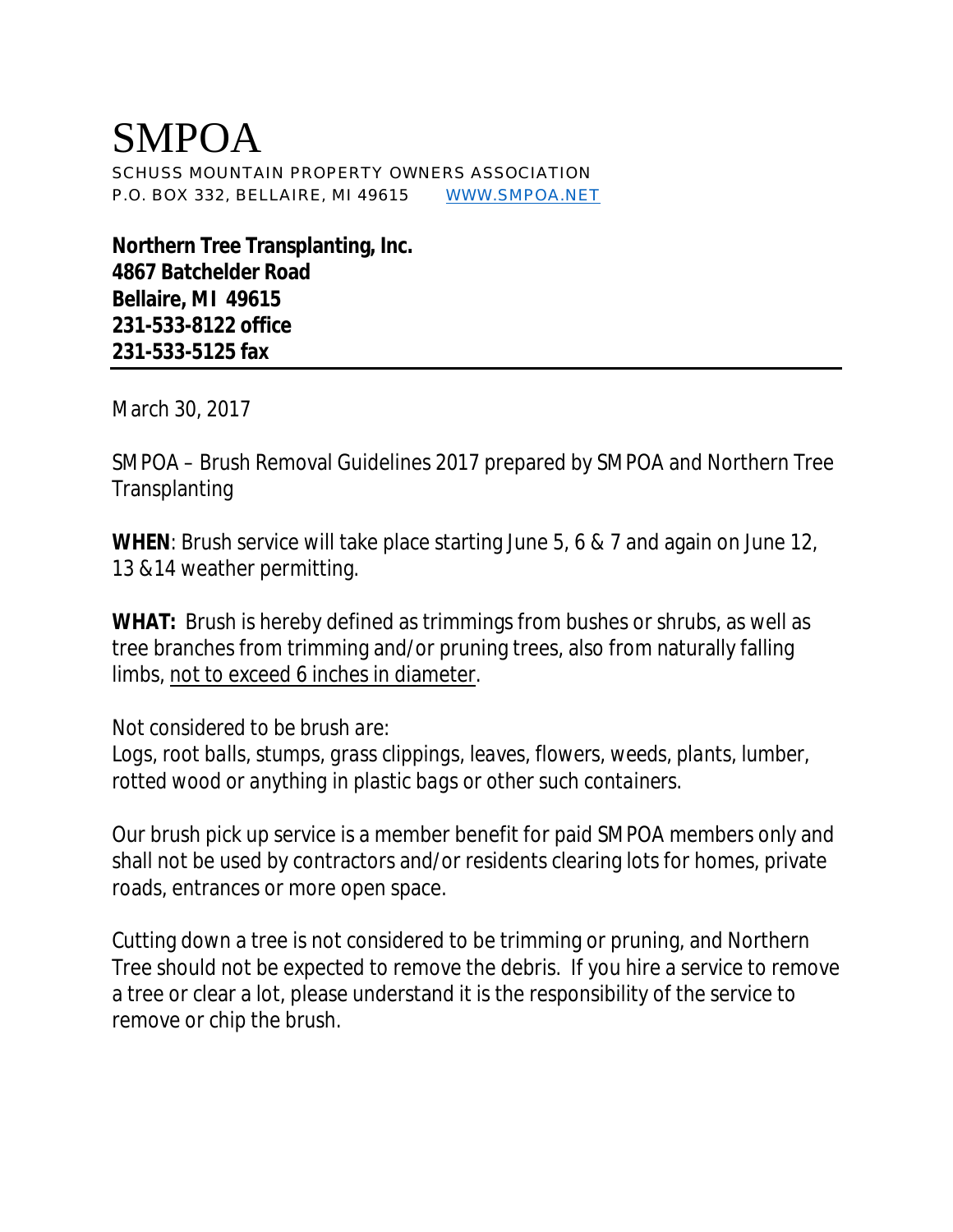## SMPOA SCHUSS MOUNTAIN PROPERTY OWNERS ASSOCIATION P.O. BOX 332, BELLAIRE, MI 49615 [WWW.SMPOA.NET](http://www.SMPOA.NET)

**Northern Tree Transplanting, Inc. 4867 Batchelder Road Bellaire, MI 49615 231-533-8122 office 231-533-5125 fax** 

March 30, 2017

SMPOA – Brush Removal Guidelines 2017 prepared by SMPOA and Northern Tree **Transplanting** 

**WHEN**: Brush service will take place starting June 5, 6 & 7 and again on June 12, 13 &14 weather permitting.

**WHAT:** Brush is hereby defined as trimmings from bushes or shrubs, as well as tree branches from trimming and/or pruning trees, also from naturally falling limbs, not to exceed 6 inches in diameter.

*Not considered to be brush are:* 

*Logs, root balls, stumps, grass clippings, leaves, flowers, weeds, plants, lumber, rotted wood or anything in plastic bags or other such containers.*

Our brush pick up service is a member benefit for paid SMPOA members only and shall not be used by contractors and/or residents clearing lots for homes, private roads, entrances or more open space.

Cutting down a tree is not considered to be trimming or pruning, and Northern Tree should not be expected to remove the debris. If you hire a service to remove a tree or clear a lot, please understand it is the responsibility of the service to remove or chip the brush.